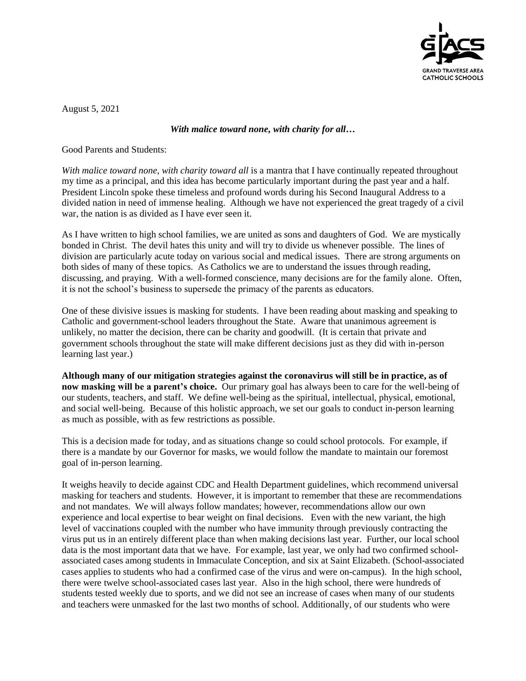

August 5, 2021

## *With malice toward none, with charity for all…*

Good Parents and Students:

*With malice toward none, with charity toward all* is a mantra that I have continually repeated throughout my time as a principal, and this idea has become particularly important during the past year and a half. President Lincoln spoke these timeless and profound words during his Second Inaugural Address to a divided nation in need of immense healing. Although we have not experienced the great tragedy of a civil war, the nation is as divided as I have ever seen it.

As I have written to high school families, we are united as sons and daughters of God. We are mystically bonded in Christ. The devil hates this unity and will try to divide us whenever possible. The lines of division are particularly acute today on various social and medical issues. There are strong arguments on both sides of many of these topics. As Catholics we are to understand the issues through reading, discussing, and praying. With a well-formed conscience, many decisions are for the family alone. Often, it is not the school's business to supersede the primacy of the parents as educators.

One of these divisive issues is masking for students. I have been reading about masking and speaking to Catholic and government-school leaders throughout the State. Aware that unanimous agreement is unlikely, no matter the decision, there can be charity and goodwill. (It is certain that private and government schools throughout the state will make different decisions just as they did with in-person learning last year.)

**Although many of our mitigation strategies against the coronavirus will still be in practice, as of now masking will be a parent's choice.** Our primary goal has always been to care for the well-being of our students, teachers, and staff. We define well-being as the spiritual, intellectual, physical, emotional, and social well-being. Because of this holistic approach, we set our goals to conduct in-person learning as much as possible, with as few restrictions as possible.

This is a decision made for today, and as situations change so could school protocols. For example, if there is a mandate by our Governor for masks, we would follow the mandate to maintain our foremost goal of in-person learning.

It weighs heavily to decide against CDC and Health Department guidelines, which recommend universal masking for teachers and students. However, it is important to remember that these are recommendations and not mandates. We will always follow mandates; however, recommendations allow our own experience and local expertise to bear weight on final decisions. Even with the new variant, the high level of vaccinations coupled with the number who have immunity through previously contracting the virus put us in an entirely different place than when making decisions last year. Further, our local school data is the most important data that we have. For example, last year, we only had two confirmed schoolassociated cases among students in Immaculate Conception, and six at Saint Elizabeth. (School-associated cases applies to students who had a confirmed case of the virus and were on-campus). In the high school, there were twelve school-associated cases last year. Also in the high school, there were hundreds of students tested weekly due to sports, and we did not see an increase of cases when many of our students and teachers were unmasked for the last two months of school. Additionally, of our students who were